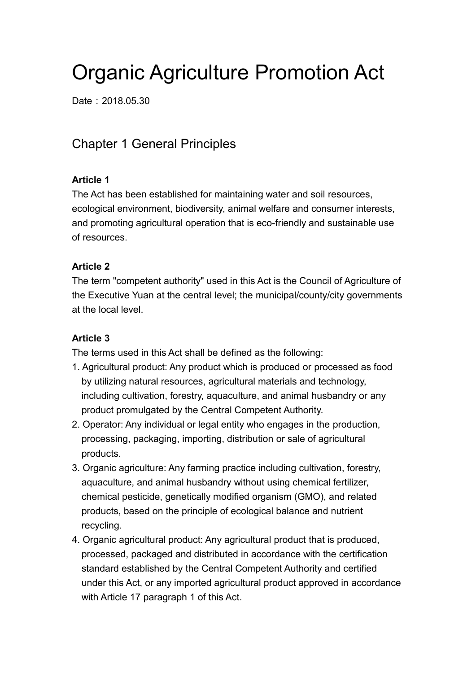# Organic Agriculture Promotion Act

Date: 2018.05.30

# Chapter 1 General Principles

# **Article 1**

The Act has been established for maintaining water and soil resources, ecological environment, biodiversity, animal welfare and consumer interests, and promoting agricultural operation that is eco-friendly and sustainable use of resources.

# **Article 2**

The term "competent authority" used in this Act is the Council of Agriculture of the Executive Yuan at the central level; the municipal/county/city governments at the local level.

# **Article 3**

The terms used in this Act shall be defined as the following:

- 1. Agricultural product: Any product which is produced or processed as food by utilizing natural resources, agricultural materials and technology, including cultivation, forestry, aquaculture, and animal husbandry or any product promulgated by the Central Competent Authority.
- 2. Operator: Any individual or legal entity who engages in the production, processing, packaging, importing, distribution or sale of agricultural products.
- 3. Organic agriculture: Any farming practice including cultivation, forestry, aquaculture, and animal husbandry without using chemical fertilizer, chemical pesticide, genetically modified organism (GMO), and related products, based on the principle of ecological balance and nutrient recycling.
- 4. Organic agricultural product: Any agricultural product that is produced, processed, packaged and distributed in accordance with the certification standard established by the Central Competent Authority and certified under this Act, or any imported agricultural product approved in accordance with Article 17 paragraph 1 of this Act.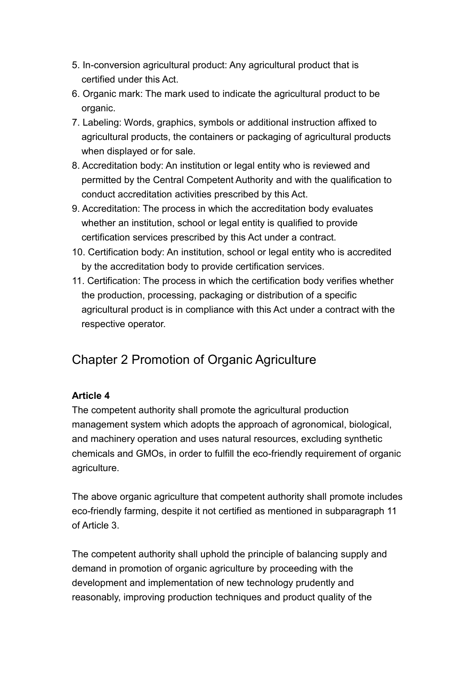- 5. In-conversion agricultural product: Any agricultural product that is certified under this Act.
- 6. Organic mark: The mark used to indicate the agricultural product to be organic.
- 7. Labeling: Words, graphics, symbols or additional instruction affixed to agricultural products, the containers or packaging of agricultural products when displayed or for sale.
- 8. Accreditation body: An institution or legal entity who is reviewed and permitted by the Central Competent Authority and with the qualification to conduct accreditation activities prescribed by this Act.
- 9. Accreditation: The process in which the accreditation body evaluates whether an institution, school or legal entity is qualified to provide certification services prescribed by this Act under a contract.
- 10. Certification body: An institution, school or legal entity who is accredited by the accreditation body to provide certification services.
- 11. Certification: The process in which the certification body verifies whether the production, processing, packaging or distribution of a specific agricultural product is in compliance with this Act under a contract with the respective operator.

# Chapter 2 Promotion of Organic Agriculture

# **Article 4**

The competent authority shall promote the agricultural production management system which adopts the approach of agronomical, biological, and machinery operation and uses natural resources, excluding synthetic chemicals and GMOs, in order to fulfill the eco-friendly requirement of organic agriculture.

The above organic agriculture that competent authority shall promote includes eco-friendly farming, despite it not certified as mentioned in subparagraph 11 of Article 3.

The competent authority shall uphold the principle of balancing supply and demand in promotion of organic agriculture by proceeding with the development and implementation of new technology prudently and reasonably, improving production techniques and product quality of the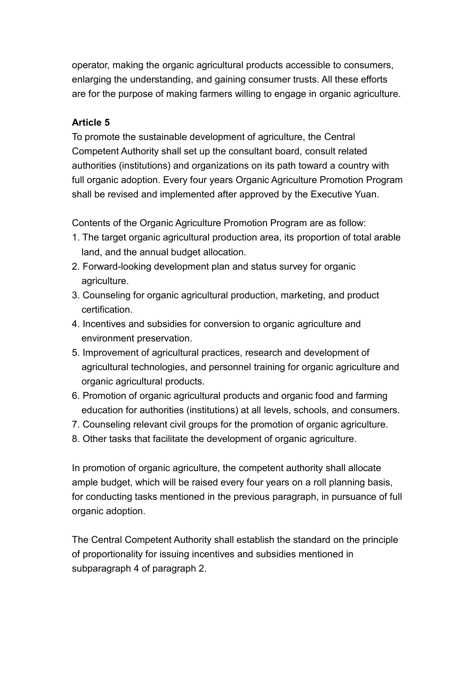operator, making the organic agricultural products accessible to consumers, enlarging the understanding, and gaining consumer trusts. All these efforts are for the purpose of making farmers willing to engage in organic agriculture.

#### **Article 5**

To promote the sustainable development of agriculture, the Central Competent Authority shall set up the consultant board, consult related authorities (institutions) and organizations on its path toward a country with full organic adoption. Every four years Organic Agriculture Promotion Program shall be revised and implemented after approved by the Executive Yuan.

Contents of the Organic Agriculture Promotion Program are as follow:

- 1. The target organic agricultural production area, its proportion of total arable land, and the annual budget allocation.
- 2. Forward-looking development plan and status survey for organic agriculture.
- 3. Counseling for organic agricultural production, marketing, and product certification.
- 4. Incentives and subsidies for conversion to organic agriculture and environment preservation.
- 5. Improvement of agricultural practices, research and development of agricultural technologies, and personnel training for organic agriculture and organic agricultural products.
- 6. Promotion of organic agricultural products and organic food and farming education for authorities (institutions) at all levels, schools, and consumers.
- 7. Counseling relevant civil groups for the promotion of organic agriculture.
- 8. Other tasks that facilitate the development of organic agriculture.

In promotion of organic agriculture, the competent authority shall allocate ample budget, which will be raised every four years on a roll planning basis, for conducting tasks mentioned in the previous paragraph, in pursuance of full organic adoption.

The Central Competent Authority shall establish the standard on the principle of proportionality for issuing incentives and subsidies mentioned in subparagraph 4 of paragraph 2.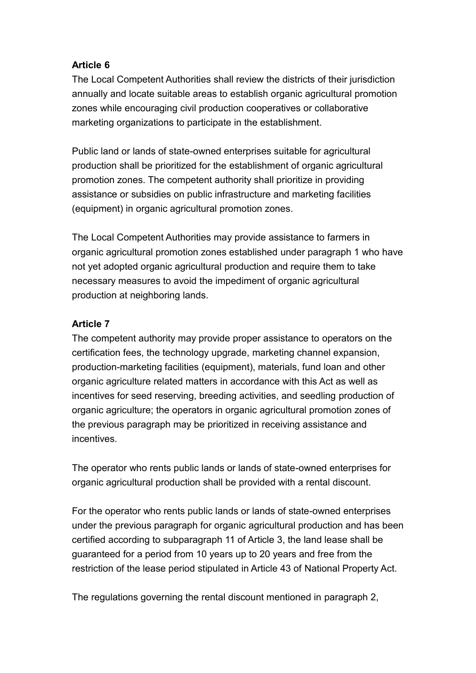#### **Article 6**

The Local Competent Authorities shall review the districts of their jurisdiction annually and locate suitable areas to establish organic agricultural promotion zones while encouraging civil production cooperatives or collaborative marketing organizations to participate in the establishment.

Public land or lands of state-owned enterprises suitable for agricultural production shall be prioritized for the establishment of organic agricultural promotion zones. The competent authority shall prioritize in providing assistance or subsidies on public infrastructure and marketing facilities (equipment) in organic agricultural promotion zones.

The Local Competent Authorities may provide assistance to farmers in organic agricultural promotion zones established under paragraph 1 who have not yet adopted organic agricultural production and require them to take necessary measures to avoid the impediment of organic agricultural production at neighboring lands.

#### **Article 7**

The competent authority may provide proper assistance to operators on the certification fees, the technology upgrade, marketing channel expansion, production-marketing facilities (equipment), materials, fund loan and other organic agriculture related matters in accordance with this Act as well as incentives for seed reserving, breeding activities, and seedling production of organic agriculture; the operators in organic agricultural promotion zones of the previous paragraph may be prioritized in receiving assistance and incentives.

The operator who rents public lands or lands of state-owned enterprises for organic agricultural production shall be provided with a rental discount.

For the operator who rents public lands or lands of state-owned enterprises under the previous paragraph for organic agricultural production and has been certified according to subparagraph 11 of Article 3, the land lease shall be guaranteed for a period from 10 years up to 20 years and free from the restriction of the lease period stipulated in Article 43 of National Property Act.

The regulations governing the rental discount mentioned in paragraph 2,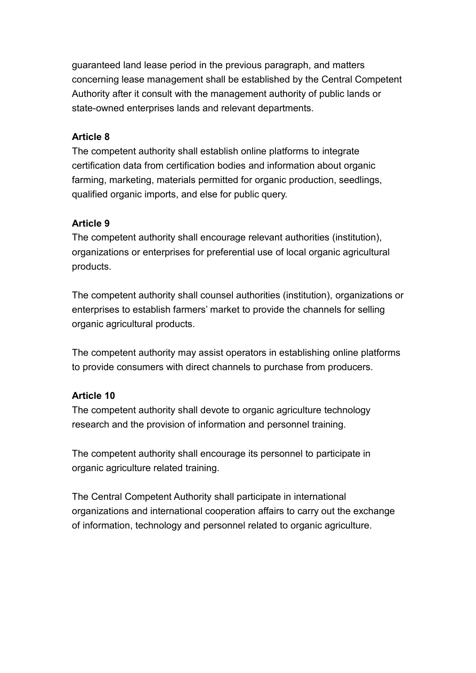guaranteed land lease period in the previous paragraph, and matters concerning lease management shall be established by the Central Competent Authority after it consult with the management authority of public lands or state-owned enterprises lands and relevant departments.

#### **Article 8**

The competent authority shall establish online platforms to integrate certification data from certification bodies and information about organic farming, marketing, materials permitted for organic production, seedlings, qualified organic imports, and else for public query.

#### **Article 9**

The competent authority shall encourage relevant authorities (institution), organizations or enterprises for preferential use of local organic agricultural products.

The competent authority shall counsel authorities (institution), organizations or enterprises to establish farmers' market to provide the channels for selling organic agricultural products.

The competent authority may assist operators in establishing online platforms to provide consumers with direct channels to purchase from producers.

#### **Article 10**

The competent authority shall devote to organic agriculture technology research and the provision of information and personnel training.

The competent authority shall encourage its personnel to participate in organic agriculture related training.

The Central Competent Authority shall participate in international organizations and international cooperation affairs to carry out the exchange of information, technology and personnel related to organic agriculture.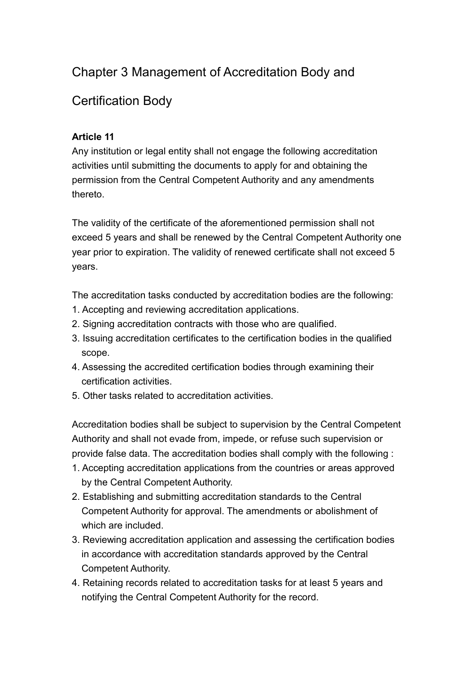# Chapter 3 Management of Accreditation Body and

# Certification Body

# **Article 11**

Any institution or legal entity shall not engage the following accreditation activities until submitting the documents to apply for and obtaining the permission from the Central Competent Authority and any amendments thereto.

The validity of the certificate of the aforementioned permission shall not exceed 5 years and shall be renewed by the Central Competent Authority one year prior to expiration. The validity of renewed certificate shall not exceed 5 years.

The accreditation tasks conducted by accreditation bodies are the following:

- 1. Accepting and reviewing accreditation applications.
- 2. Signing accreditation contracts with those who are qualified.
- 3. Issuing accreditation certificates to the certification bodies in the qualified scope.
- 4. Assessing the accredited certification bodies through examining their certification activities.
- 5. Other tasks related to accreditation activities.

Accreditation bodies shall be subject to supervision by the Central Competent Authority and shall not evade from, impede, or refuse such supervision or provide false data. The accreditation bodies shall comply with the following :

- 1. Accepting accreditation applications from the countries or areas approved by the Central Competent Authority.
- 2. Establishing and submitting accreditation standards to the Central Competent Authority for approval. The amendments or abolishment of which are included.
- 3. Reviewing accreditation application and assessing the certification bodies in accordance with accreditation standards approved by the Central Competent Authority.
- 4. Retaining records related to accreditation tasks for at least 5 years and notifying the Central Competent Authority for the record.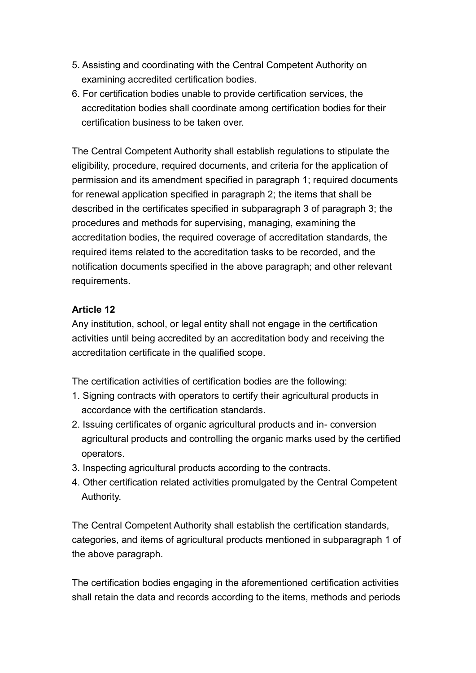- 5. Assisting and coordinating with the Central Competent Authority on examining accredited certification bodies.
- 6. For certification bodies unable to provide certification services, the accreditation bodies shall coordinate among certification bodies for their certification business to be taken over.

The Central Competent Authority shall establish regulations to stipulate the eligibility, procedure, required documents, and criteria for the application of permission and its amendment specified in paragraph 1; required documents for renewal application specified in paragraph 2; the items that shall be described in the certificates specified in subparagraph 3 of paragraph 3; the procedures and methods for supervising, managing, examining the accreditation bodies, the required coverage of accreditation standards, the required items related to the accreditation tasks to be recorded, and the notification documents specified in the above paragraph; and other relevant requirements.

#### **Article 12**

Any institution, school, or legal entity shall not engage in the certification activities until being accredited by an accreditation body and receiving the accreditation certificate in the qualified scope.

The certification activities of certification bodies are the following:

- 1. Signing contracts with operators to certify their agricultural products in accordance with the certification standards.
- 2. Issuing certificates of organic agricultural products and in- conversion agricultural products and controlling the organic marks used by the certified operators.
- 3. Inspecting agricultural products according to the contracts.
- 4. Other certification related activities promulgated by the Central Competent Authority.

The Central Competent Authority shall establish the certification standards, categories, and items of agricultural products mentioned in subparagraph 1 of the above paragraph.

The certification bodies engaging in the aforementioned certification activities shall retain the data and records according to the items, methods and periods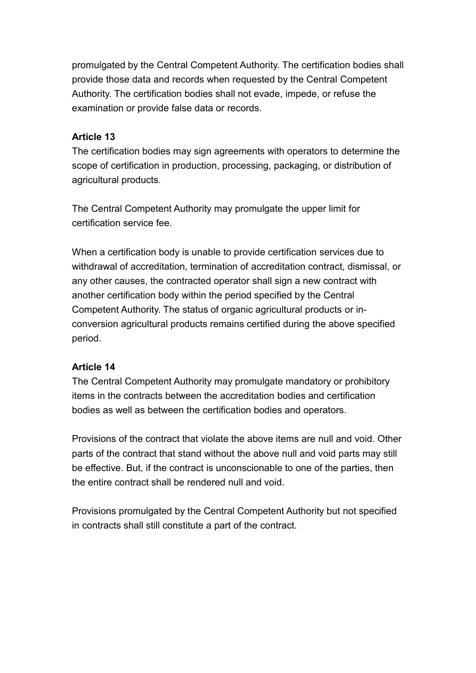promulgated by the Central Competent Authority. The certification bodies shall provide those data and records when requested by the Central Competent Authority. The certification bodies shall not evade, impede, or refuse the examination or provide false data or records.

#### **Article 13**

The certification bodies may sign agreements with operators to determine the scope of certification in production, processing, packaging, or distribution of agricultural products.

The Central Competent Authority may promulgate the upper limit for certification service fee.

When a certification body is unable to provide certification services due to withdrawal of accreditation, termination of accreditation contract, dismissal, or any other causes, the contracted operator shall sign a new contract with another certification body within the period specified by the Central Competent Authority. The status of organic agricultural products or inconversion agricultural products remains certified during the above specified period.

# **Article 14**

The Central Competent Authority may promulgate mandatory or prohibitory items in the contracts between the accreditation bodies and certification bodies as well as between the certification bodies and operators.

Provisions of the contract that violate the above items are null and void. Other parts of the contract that stand without the above null and void parts may still be effective. But, if the contract is unconscionable to one of the parties, then the entire contract shall be rendered null and void.

Provisions promulgated by the Central Competent Authority but not specified in contracts shall still constitute a part of the contract.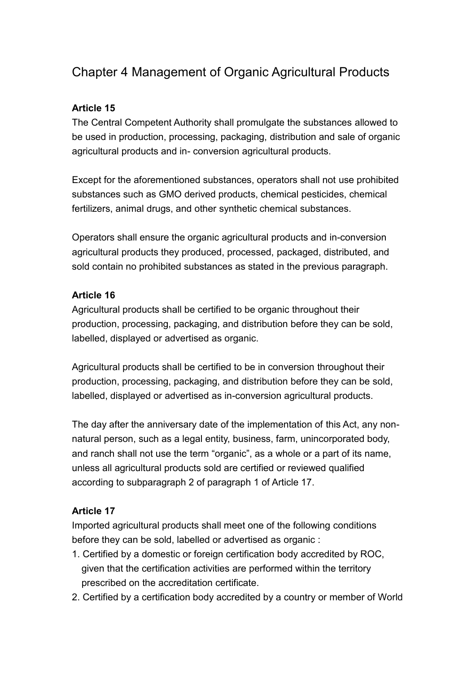# Chapter 4 Management of Organic Agricultural Products

#### **Article 15**

The Central Competent Authority shall promulgate the substances allowed to be used in production, processing, packaging, distribution and sale of organic agricultural products and in- conversion agricultural products.

Except for the aforementioned substances, operators shall not use prohibited substances such as GMO derived products, chemical pesticides, chemical fertilizers, animal drugs, and other synthetic chemical substances.

Operators shall ensure the organic agricultural products and in-conversion agricultural products they produced, processed, packaged, distributed, and sold contain no prohibited substances as stated in the previous paragraph.

#### **Article 16**

Agricultural products shall be certified to be organic throughout their production, processing, packaging, and distribution before they can be sold, labelled, displayed or advertised as organic.

Agricultural products shall be certified to be in conversion throughout their production, processing, packaging, and distribution before they can be sold, labelled, displayed or advertised as in-conversion agricultural products.

The day after the anniversary date of the implementation of this Act, any nonnatural person, such as a legal entity, business, farm, unincorporated body, and ranch shall not use the term "organic", as a whole or a part of its name, unless all agricultural products sold are certified or reviewed qualified according to subparagraph 2 of paragraph 1 of Article 17.

#### **Article 17**

Imported agricultural products shall meet one of the following conditions before they can be sold, labelled or advertised as organic :

- 1. Certified by a domestic or foreign certification body accredited by ROC, given that the certification activities are performed within the territory prescribed on the accreditation certificate.
- 2. Certified by a certification body accredited by a country or member of World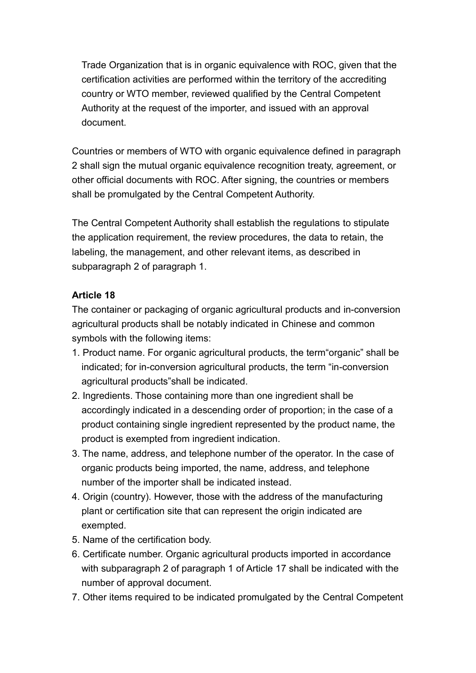Trade Organization that is in organic equivalence with ROC, given that the certification activities are performed within the territory of the accrediting country or WTO member, reviewed qualified by the Central Competent Authority at the request of the importer, and issued with an approval document.

Countries or members of WTO with organic equivalence defined in paragraph 2 shall sign the mutual organic equivalence recognition treaty, agreement, or other official documents with ROC. After signing, the countries or members shall be promulgated by the Central Competent Authority.

The Central Competent Authority shall establish the regulations to stipulate the application requirement, the review procedures, the data to retain, the labeling, the management, and other relevant items, as described in subparagraph 2 of paragraph 1.

#### **Article 18**

The container or packaging of organic agricultural products and in-conversion agricultural products shall be notably indicated in Chinese and common symbols with the following items:

- 1. Product name. For organic agricultural products, the term"organic" shall be indicated; for in-conversion agricultural products, the term "in-conversion agricultural products"shall be indicated.
- 2. Ingredients. Those containing more than one ingredient shall be accordingly indicated in a descending order of proportion; in the case of a product containing single ingredient represented by the product name, the product is exempted from ingredient indication.
- 3. The name, address, and telephone number of the operator. In the case of organic products being imported, the name, address, and telephone number of the importer shall be indicated instead.
- 4. Origin (country). However, those with the address of the manufacturing plant or certification site that can represent the origin indicated are exempted.
- 5. Name of the certification body.
- 6. Certificate number. Organic agricultural products imported in accordance with subparagraph 2 of paragraph 1 of Article 17 shall be indicated with the number of approval document.
- 7. Other items required to be indicated promulgated by the Central Competent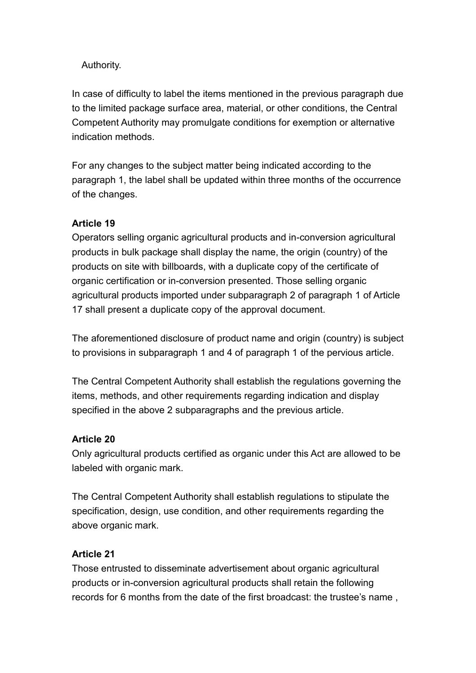#### Authority.

In case of difficulty to label the items mentioned in the previous paragraph due to the limited package surface area, material, or other conditions, the Central Competent Authority may promulgate conditions for exemption or alternative indication methods.

For any changes to the subject matter being indicated according to the paragraph 1, the label shall be updated within three months of the occurrence of the changes.

#### **Article 19**

Operators selling organic agricultural products and in-conversion agricultural products in bulk package shall display the name, the origin (country) of the products on site with billboards, with a duplicate copy of the certificate of organic certification or in-conversion presented. Those selling organic agricultural products imported under subparagraph 2 of paragraph 1 of Article 17 shall present a duplicate copy of the approval document.

The aforementioned disclosure of product name and origin (country) is subject to provisions in subparagraph 1 and 4 of paragraph 1 of the pervious article.

The Central Competent Authority shall establish the regulations governing the items, methods, and other requirements regarding indication and display specified in the above 2 subparagraphs and the previous article.

#### **Article 20**

Only agricultural products certified as organic under this Act are allowed to be labeled with organic mark.

The Central Competent Authority shall establish regulations to stipulate the specification, design, use condition, and other requirements regarding the above organic mark.

#### **Article 21**

Those entrusted to disseminate advertisement about organic agricultural products or in-conversion agricultural products shall retain the following records for 6 months from the date of the first broadcast: the trustee's name ,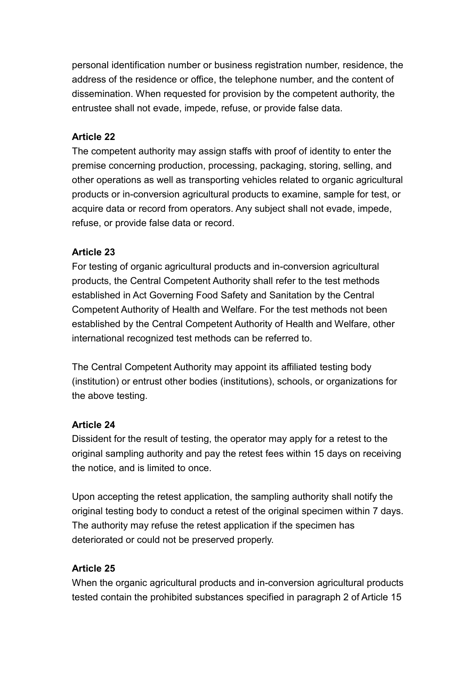personal identification number or business registration number, residence, the address of the residence or office, the telephone number, and the content of dissemination. When requested for provision by the competent authority, the entrustee shall not evade, impede, refuse, or provide false data.

#### **Article 22**

The competent authority may assign staffs with proof of identity to enter the premise concerning production, processing, packaging, storing, selling, and other operations as well as transporting vehicles related to organic agricultural products or in-conversion agricultural products to examine, sample for test, or acquire data or record from operators. Any subject shall not evade, impede, refuse, or provide false data or record.

#### **Article 23**

For testing of organic agricultural products and in-conversion agricultural products, the Central Competent Authority shall refer to the test methods established in Act Governing Food Safety and Sanitation by the Central Competent Authority of Health and Welfare. For the test methods not been established by the Central Competent Authority of Health and Welfare, other international recognized test methods can be referred to.

The Central Competent Authority may appoint its affiliated testing body (institution) or entrust other bodies (institutions), schools, or organizations for the above testing.

#### **Article 24**

Dissident for the result of testing, the operator may apply for a retest to the original sampling authority and pay the retest fees within 15 days on receiving the notice, and is limited to once.

Upon accepting the retest application, the sampling authority shall notify the original testing body to conduct a retest of the original specimen within 7 days. The authority may refuse the retest application if the specimen has deteriorated or could not be preserved properly.

#### **Article 25**

When the organic agricultural products and in-conversion agricultural products tested contain the prohibited substances specified in paragraph 2 of Article 15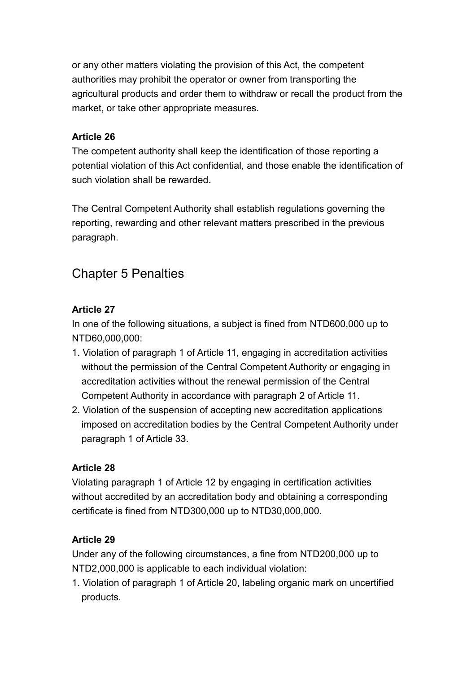or any other matters violating the provision of this Act, the competent authorities may prohibit the operator or owner from transporting the agricultural products and order them to withdraw or recall the product from the market, or take other appropriate measures.

#### **Article 26**

The competent authority shall keep the identification of those reporting a potential violation of this Act confidential, and those enable the identification of such violation shall be rewarded.

The Central Competent Authority shall establish regulations governing the reporting, rewarding and other relevant matters prescribed in the previous paragraph.

# Chapter 5 Penalties

# **Article 27**

In one of the following situations, a subject is fined from NTD600,000 up to NTD60,000,000:

- 1. Violation of paragraph 1 of Article 11, engaging in accreditation activities without the permission of the Central Competent Authority or engaging in accreditation activities without the renewal permission of the Central Competent Authority in accordance with paragraph 2 of Article 11.
- 2. Violation of the suspension of accepting new accreditation applications imposed on accreditation bodies by the Central Competent Authority under paragraph 1 of Article 33.

# **Article 28**

Violating paragraph 1 of Article 12 by engaging in certification activities without accredited by an accreditation body and obtaining a corresponding certificate is fined from NTD300,000 up to NTD30,000,000.

# **Article 29**

Under any of the following circumstances, a fine from NTD200,000 up to NTD2,000,000 is applicable to each individual violation:

1. Violation of paragraph 1 of Article 20, labeling organic mark on uncertified products.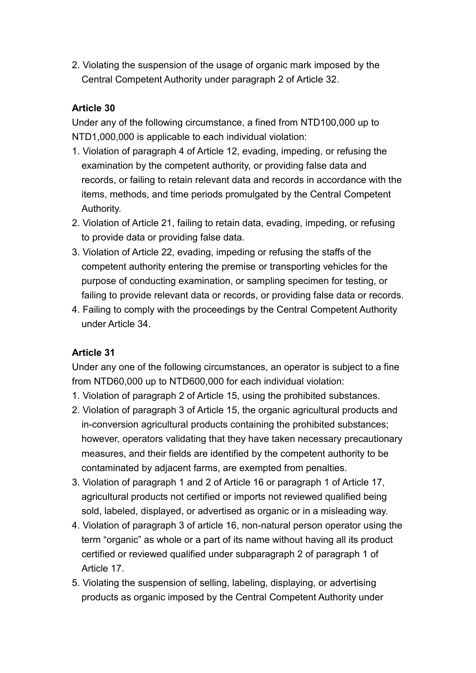2. Violating the suspension of the usage of organic mark imposed by the Central Competent Authority under paragraph 2 of Article 32.

#### **Article 30**

Under any of the following circumstance, a fined from NTD100,000 up to NTD1,000,000 is applicable to each individual violation:

- 1. Violation of paragraph 4 of Article 12, evading, impeding, or refusing the examination by the competent authority, or providing false data and records, or failing to retain relevant data and records in accordance with the items, methods, and time periods promulgated by the Central Competent Authority.
- 2. Violation of Article 21, failing to retain data, evading, impeding, or refusing to provide data or providing false data.
- 3. Violation of Article 22, evading, impeding or refusing the staffs of the competent authority entering the premise or transporting vehicles for the purpose of conducting examination, or sampling specimen for testing, or failing to provide relevant data or records, or providing false data or records.
- 4. Failing to comply with the proceedings by the Central Competent Authority under Article 34.

#### **Article 31**

Under any one of the following circumstances, an operator is subject to a fine from NTD60,000 up to NTD600,000 for each individual violation:

- 1. Violation of paragraph 2 of Article 15, using the prohibited substances.
- 2. Violation of paragraph 3 of Article 15, the organic agricultural products and in-conversion agricultural products containing the prohibited substances; however, operators validating that they have taken necessary precautionary measures, and their fields are identified by the competent authority to be contaminated by adjacent farms, are exempted from penalties.
- 3. Violation of paragraph 1 and 2 of Article 16 or paragraph 1 of Article 17, agricultural products not certified or imports not reviewed qualified being sold, labeled, displayed, or advertised as organic or in a misleading way.
- 4. Violation of paragraph 3 of article 16, non-natural person operator using the term "organic" as whole or a part of its name without having all its product certified or reviewed qualified under subparagraph 2 of paragraph 1 of Article 17.
- 5. Violating the suspension of selling, labeling, displaying, or advertising products as organic imposed by the Central Competent Authority under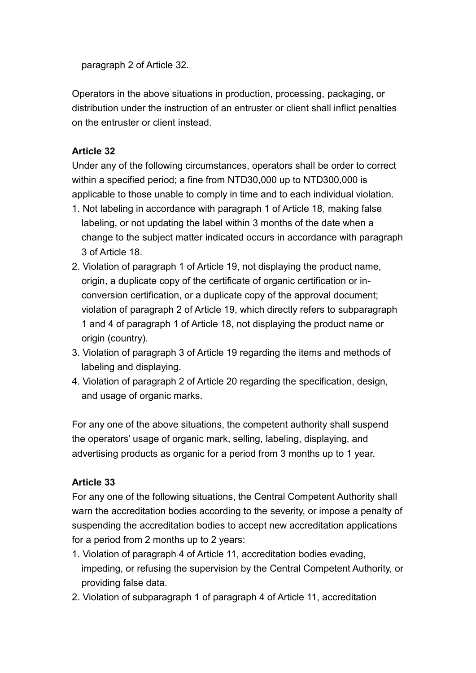paragraph 2 of Article 32.

Operators in the above situations in production, processing, packaging, or distribution under the instruction of an entruster or client shall inflict penalties on the entruster or client instead.

# **Article 32**

Under any of the following circumstances, operators shall be order to correct within a specified period; a fine from NTD30,000 up to NTD300,000 is applicable to those unable to comply in time and to each individual violation.

- 1. Not labeling in accordance with paragraph 1 of Article 18, making false labeling, or not updating the label within 3 months of the date when a change to the subject matter indicated occurs in accordance with paragraph 3 of Article 18.
- 2. Violation of paragraph 1 of Article 19, not displaying the product name, origin, a duplicate copy of the certificate of organic certification or inconversion certification, or a duplicate copy of the approval document; violation of paragraph 2 of Article 19, which directly refers to subparagraph 1 and 4 of paragraph 1 of Article 18, not displaying the product name or origin (country).
- 3. Violation of paragraph 3 of Article 19 regarding the items and methods of labeling and displaying.
- 4. Violation of paragraph 2 of Article 20 regarding the specification, design, and usage of organic marks.

For any one of the above situations, the competent authority shall suspend the operators' usage of organic mark, selling, labeling, displaying, and advertising products as organic for a period from 3 months up to 1 year.

# **Article 33**

For any one of the following situations, the Central Competent Authority shall warn the accreditation bodies according to the severity, or impose a penalty of suspending the accreditation bodies to accept new accreditation applications for a period from 2 months up to 2 years:

- 1. Violation of paragraph 4 of Article 11, accreditation bodies evading, impeding, or refusing the supervision by the Central Competent Authority, or providing false data.
- 2. Violation of subparagraph 1 of paragraph 4 of Article 11, accreditation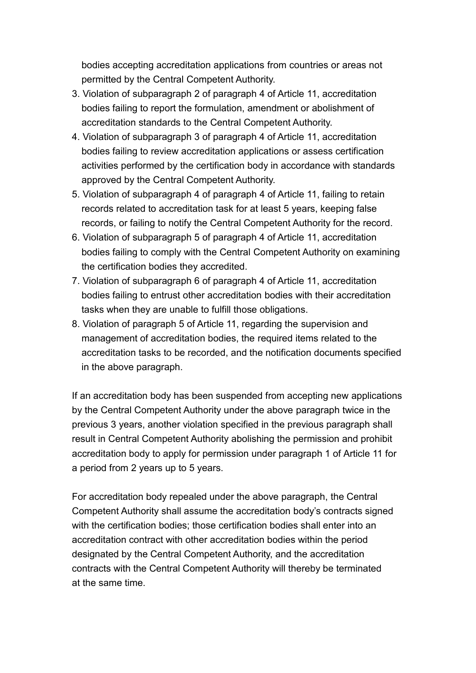bodies accepting accreditation applications from countries or areas not permitted by the Central Competent Authority.

- 3. Violation of subparagraph 2 of paragraph 4 of Article 11, accreditation bodies failing to report the formulation, amendment or abolishment of accreditation standards to the Central Competent Authority.
- 4. Violation of subparagraph 3 of paragraph 4 of Article 11, accreditation bodies failing to review accreditation applications or assess certification activities performed by the certification body in accordance with standards approved by the Central Competent Authority.
- 5. Violation of subparagraph 4 of paragraph 4 of Article 11, failing to retain records related to accreditation task for at least 5 years, keeping false records, or failing to notify the Central Competent Authority for the record.
- 6. Violation of subparagraph 5 of paragraph 4 of Article 11, accreditation bodies failing to comply with the Central Competent Authority on examining the certification bodies they accredited.
- 7. Violation of subparagraph 6 of paragraph 4 of Article 11, accreditation bodies failing to entrust other accreditation bodies with their accreditation tasks when they are unable to fulfill those obligations.
- 8. Violation of paragraph 5 of Article 11, regarding the supervision and management of accreditation bodies, the required items related to the accreditation tasks to be recorded, and the notification documents specified in the above paragraph.

If an accreditation body has been suspended from accepting new applications by the Central Competent Authority under the above paragraph twice in the previous 3 years, another violation specified in the previous paragraph shall result in Central Competent Authority abolishing the permission and prohibit accreditation body to apply for permission under paragraph 1 of Article 11 for a period from 2 years up to 5 years.

For accreditation body repealed under the above paragraph, the Central Competent Authority shall assume the accreditation body's contracts signed with the certification bodies; those certification bodies shall enter into an accreditation contract with other accreditation bodies within the period designated by the Central Competent Authority, and the accreditation contracts with the Central Competent Authority will thereby be terminated at the same time.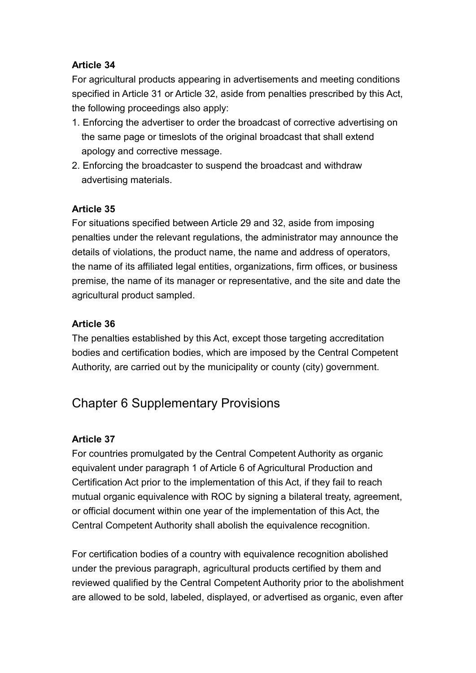# **Article 34**

For agricultural products appearing in advertisements and meeting conditions specified in Article 31 or Article 32, aside from penalties prescribed by this Act, the following proceedings also apply:

- 1. Enforcing the advertiser to order the broadcast of corrective advertising on the same page or timeslots of the original broadcast that shall extend apology and corrective message.
- 2. Enforcing the broadcaster to suspend the broadcast and withdraw advertising materials.

# **Article 35**

For situations specified between Article 29 and 32, aside from imposing penalties under the relevant regulations, the administrator may announce the details of violations, the product name, the name and address of operators, the name of its affiliated legal entities, organizations, firm offices, or business premise, the name of its manager or representative, and the site and date the agricultural product sampled.

# **Article 36**

The penalties established by this Act, except those targeting accreditation bodies and certification bodies, which are imposed by the Central Competent Authority, are carried out by the municipality or county (city) government.

# Chapter 6 Supplementary Provisions

# **Article 37**

For countries promulgated by the Central Competent Authority as organic equivalent under paragraph 1 of Article 6 of Agricultural Production and Certification Act prior to the implementation of this Act, if they fail to reach mutual organic equivalence with ROC by signing a bilateral treaty, agreement, or official document within one year of the implementation of this Act, the Central Competent Authority shall abolish the equivalence recognition.

For certification bodies of a country with equivalence recognition abolished under the previous paragraph, agricultural products certified by them and reviewed qualified by the Central Competent Authority prior to the abolishment are allowed to be sold, labeled, displayed, or advertised as organic, even after